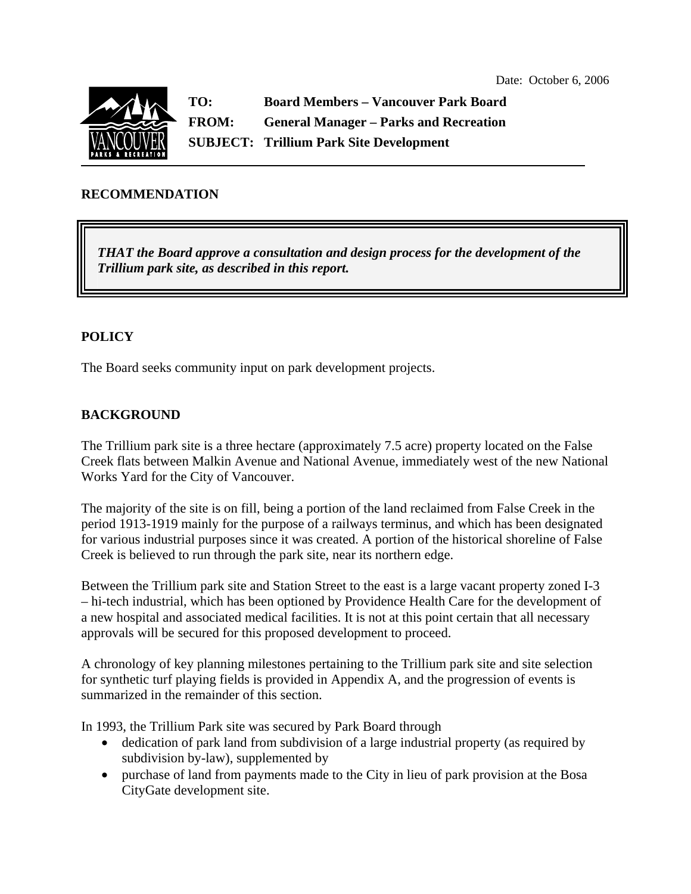

**TO: Board Members – Vancouver Park Board FROM: General Manager – Parks and Recreation SUBJECT: Trillium Park Site Development** 

### **RECOMMENDATION**

*THAT the Board approve a consultation and design process for the development of the Trillium park site, as described in this report.* 

### **POLICY**

The Board seeks community input on park development projects.

### **BACKGROUND**

The Trillium park site is a three hectare (approximately 7.5 acre) property located on the False Creek flats between Malkin Avenue and National Avenue, immediately west of the new National Works Yard for the City of Vancouver.

The majority of the site is on fill, being a portion of the land reclaimed from False Creek in the period 1913-1919 mainly for the purpose of a railways terminus, and which has been designated for various industrial purposes since it was created. A portion of the historical shoreline of False Creek is believed to run through the park site, near its northern edge.

Between the Trillium park site and Station Street to the east is a large vacant property zoned I-3 – hi-tech industrial, which has been optioned by Providence Health Care for the development of a new hospital and associated medical facilities. It is not at this point certain that all necessary approvals will be secured for this proposed development to proceed.

A chronology of key planning milestones pertaining to the Trillium park site and site selection for synthetic turf playing fields is provided in Appendix A, and the progression of events is summarized in the remainder of this section.

In 1993, the Trillium Park site was secured by Park Board through

- dedication of park land from subdivision of a large industrial property (as required by subdivision by-law), supplemented by
- purchase of land from payments made to the City in lieu of park provision at the Bosa CityGate development site.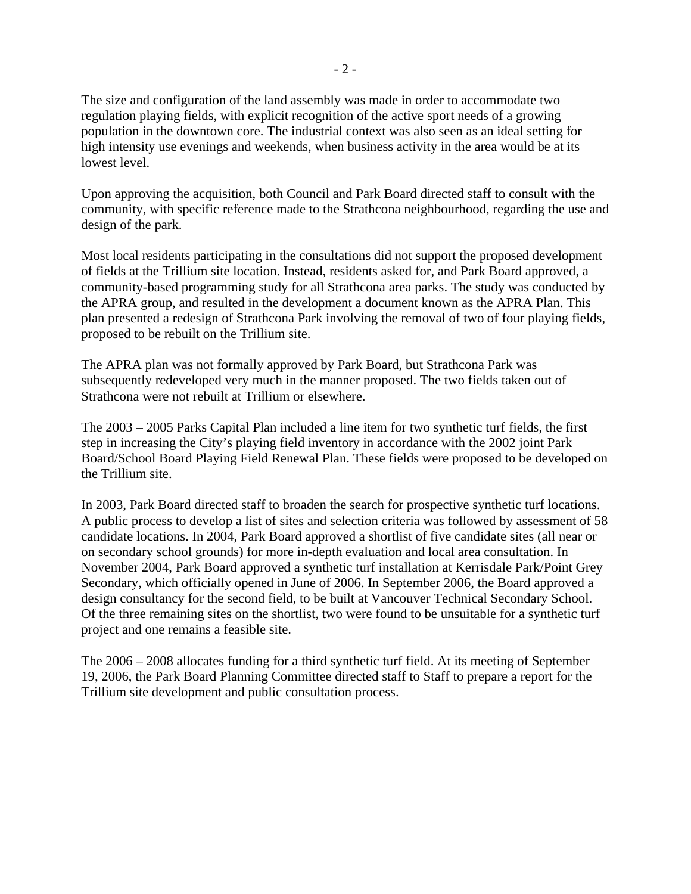The size and configuration of the land assembly was made in order to accommodate two regulation playing fields, with explicit recognition of the active sport needs of a growing population in the downtown core. The industrial context was also seen as an ideal setting for high intensity use evenings and weekends, when business activity in the area would be at its lowest level.

Upon approving the acquisition, both Council and Park Board directed staff to consult with the community, with specific reference made to the Strathcona neighbourhood, regarding the use and design of the park.

Most local residents participating in the consultations did not support the proposed development of fields at the Trillium site location. Instead, residents asked for, and Park Board approved, a community-based programming study for all Strathcona area parks. The study was conducted by the APRA group, and resulted in the development a document known as the APRA Plan. This plan presented a redesign of Strathcona Park involving the removal of two of four playing fields, proposed to be rebuilt on the Trillium site.

The APRA plan was not formally approved by Park Board, but Strathcona Park was subsequently redeveloped very much in the manner proposed. The two fields taken out of Strathcona were not rebuilt at Trillium or elsewhere.

The 2003 – 2005 Parks Capital Plan included a line item for two synthetic turf fields, the first step in increasing the City's playing field inventory in accordance with the 2002 joint Park Board/School Board Playing Field Renewal Plan. These fields were proposed to be developed on the Trillium site.

In 2003, Park Board directed staff to broaden the search for prospective synthetic turf locations. A public process to develop a list of sites and selection criteria was followed by assessment of 58 candidate locations. In 2004, Park Board approved a shortlist of five candidate sites (all near or on secondary school grounds) for more in-depth evaluation and local area consultation. In November 2004, Park Board approved a synthetic turf installation at Kerrisdale Park/Point Grey Secondary, which officially opened in June of 2006. In September 2006, the Board approved a design consultancy for the second field, to be built at Vancouver Technical Secondary School. Of the three remaining sites on the shortlist, two were found to be unsuitable for a synthetic turf project and one remains a feasible site.

The 2006 – 2008 allocates funding for a third synthetic turf field. At its meeting of September 19, 2006, the Park Board Planning Committee directed staff to Staff to prepare a report for the Trillium site development and public consultation process.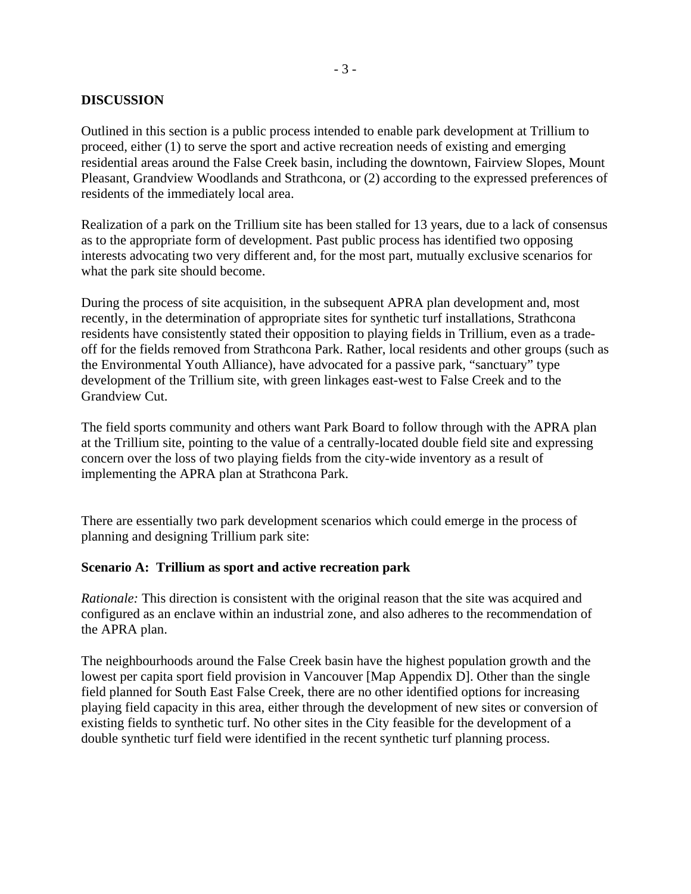### **DISCUSSION**

Outlined in this section is a public process intended to enable park development at Trillium to proceed, either (1) to serve the sport and active recreation needs of existing and emerging residential areas around the False Creek basin, including the downtown, Fairview Slopes, Mount Pleasant, Grandview Woodlands and Strathcona, or (2) according to the expressed preferences of residents of the immediately local area.

Realization of a park on the Trillium site has been stalled for 13 years, due to a lack of consensus as to the appropriate form of development. Past public process has identified two opposing interests advocating two very different and, for the most part, mutually exclusive scenarios for what the park site should become.

During the process of site acquisition, in the subsequent APRA plan development and, most recently, in the determination of appropriate sites for synthetic turf installations, Strathcona residents have consistently stated their opposition to playing fields in Trillium, even as a tradeoff for the fields removed from Strathcona Park. Rather, local residents and other groups (such as the Environmental Youth Alliance), have advocated for a passive park, "sanctuary" type development of the Trillium site, with green linkages east-west to False Creek and to the Grandview Cut.

The field sports community and others want Park Board to follow through with the APRA plan at the Trillium site, pointing to the value of a centrally-located double field site and expressing concern over the loss of two playing fields from the city-wide inventory as a result of implementing the APRA plan at Strathcona Park.

There are essentially two park development scenarios which could emerge in the process of planning and designing Trillium park site:

#### **Scenario A: Trillium as sport and active recreation park**

*Rationale:* This direction is consistent with the original reason that the site was acquired and configured as an enclave within an industrial zone, and also adheres to the recommendation of the APRA plan.

The neighbourhoods around the False Creek basin have the highest population growth and the lowest per capita sport field provision in Vancouver [Map Appendix D]. Other than the single field planned for South East False Creek, there are no other identified options for increasing playing field capacity in this area, either through the development of new sites or conversion of existing fields to synthetic turf. No other sites in the City feasible for the development of a double synthetic turf field were identified in the recent synthetic turf planning process.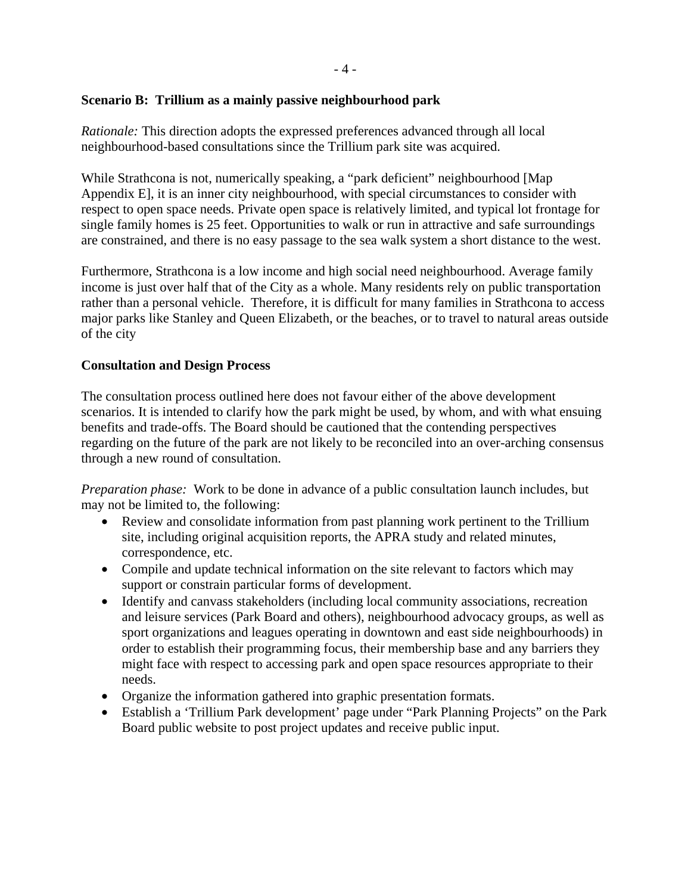### **Scenario B: Trillium as a mainly passive neighbourhood park**

*Rationale:* This direction adopts the expressed preferences advanced through all local neighbourhood-based consultations since the Trillium park site was acquired.

While Strathcona is not, numerically speaking, a "park deficient" neighbourhood [Map Appendix E], it is an inner city neighbourhood, with special circumstances to consider with respect to open space needs. Private open space is relatively limited, and typical lot frontage for single family homes is 25 feet. Opportunities to walk or run in attractive and safe surroundings are constrained, and there is no easy passage to the sea walk system a short distance to the west.

Furthermore, Strathcona is a low income and high social need neighbourhood. Average family income is just over half that of the City as a whole. Many residents rely on public transportation rather than a personal vehicle. Therefore, it is difficult for many families in Strathcona to access major parks like Stanley and Queen Elizabeth, or the beaches, or to travel to natural areas outside of the city

### **Consultation and Design Process**

The consultation process outlined here does not favour either of the above development scenarios. It is intended to clarify how the park might be used, by whom, and with what ensuing benefits and trade-offs. The Board should be cautioned that the contending perspectives regarding on the future of the park are not likely to be reconciled into an over-arching consensus through a new round of consultation.

*Preparation phase:* Work to be done in advance of a public consultation launch includes, but may not be limited to, the following:

- Review and consolidate information from past planning work pertinent to the Trillium site, including original acquisition reports, the APRA study and related minutes, correspondence, etc.
- Compile and update technical information on the site relevant to factors which may support or constrain particular forms of development.
- Identify and canvass stakeholders (including local community associations, recreation and leisure services (Park Board and others), neighbourhood advocacy groups, as well as sport organizations and leagues operating in downtown and east side neighbourhoods) in order to establish their programming focus, their membership base and any barriers they might face with respect to accessing park and open space resources appropriate to their needs.
- Organize the information gathered into graphic presentation formats.
- Establish a 'Trillium Park development' page under "Park Planning Projects" on the Park Board public website to post project updates and receive public input.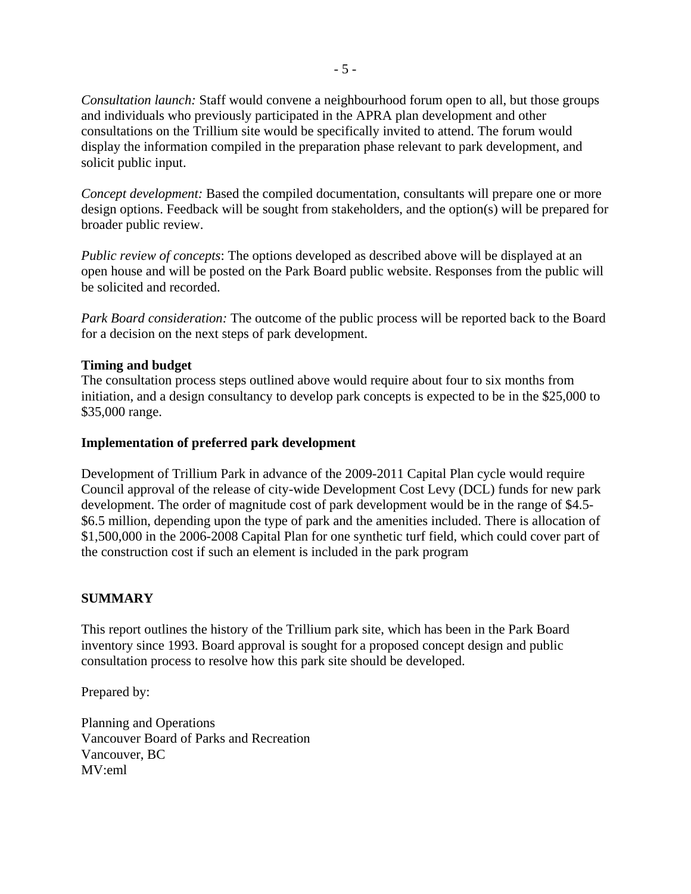*Consultation launch:* Staff would convene a neighbourhood forum open to all, but those groups and individuals who previously participated in the APRA plan development and other consultations on the Trillium site would be specifically invited to attend. The forum would display the information compiled in the preparation phase relevant to park development, and solicit public input.

*Concept development:* Based the compiled documentation, consultants will prepare one or more design options. Feedback will be sought from stakeholders, and the option(s) will be prepared for broader public review.

*Public review of concepts*: The options developed as described above will be displayed at an open house and will be posted on the Park Board public website. Responses from the public will be solicited and recorded.

*Park Board consideration:* The outcome of the public process will be reported back to the Board for a decision on the next steps of park development.

#### **Timing and budget**

The consultation process steps outlined above would require about four to six months from initiation, and a design consultancy to develop park concepts is expected to be in the \$25,000 to \$35,000 range.

#### **Implementation of preferred park development**

Development of Trillium Park in advance of the 2009-2011 Capital Plan cycle would require Council approval of the release of city-wide Development Cost Levy (DCL) funds for new park development. The order of magnitude cost of park development would be in the range of \$4.5- \$6.5 million, depending upon the type of park and the amenities included. There is allocation of \$1,500,000 in the 2006-2008 Capital Plan for one synthetic turf field, which could cover part of the construction cost if such an element is included in the park program

#### **SUMMARY**

This report outlines the history of the Trillium park site, which has been in the Park Board inventory since 1993. Board approval is sought for a proposed concept design and public consultation process to resolve how this park site should be developed.

Prepared by:

Planning and Operations Vancouver Board of Parks and Recreation Vancouver, BC MV:eml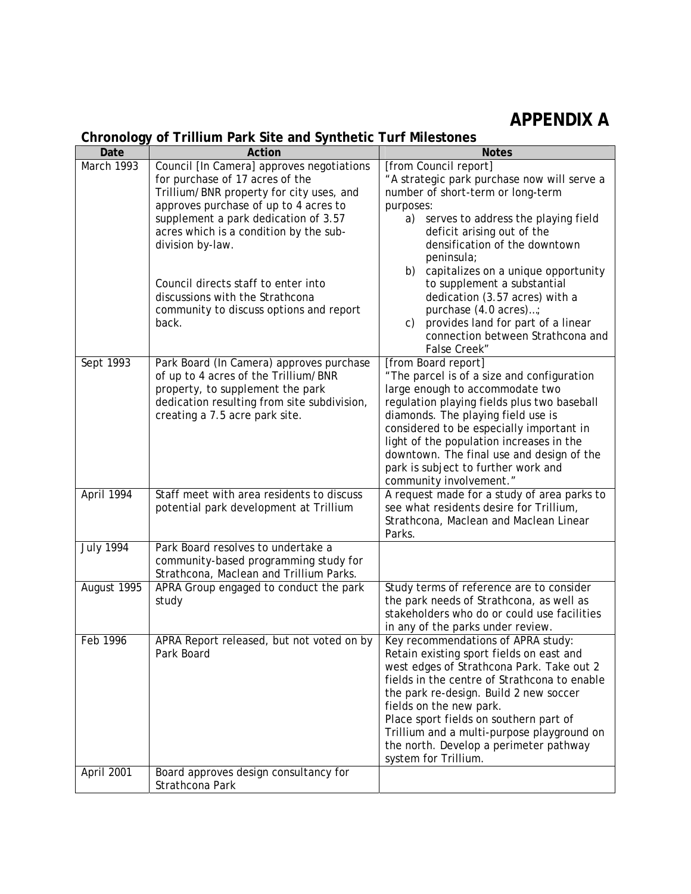## **APPENDIX A**

### **Chronology of Trillium Park Site and Synthetic Turf Milestones**

| Date             | Action                                                                              | <b>Notes</b>                                                                           |
|------------------|-------------------------------------------------------------------------------------|----------------------------------------------------------------------------------------|
| March 1993       | Council [In Camera] approves negotiations                                           | [from Council report]                                                                  |
|                  | for purchase of 17 acres of the                                                     | "A strategic park purchase now will serve a                                            |
|                  | Trillium/BNR property for city uses, and                                            | number of short-term or long-term                                                      |
|                  | approves purchase of up to 4 acres to                                               | purposes:                                                                              |
|                  | supplement a park dedication of 3.57                                                | a)<br>serves to address the playing field                                              |
|                  | acres which is a condition by the sub-                                              | deficit arising out of the                                                             |
|                  | division by-law.                                                                    | densification of the downtown                                                          |
|                  |                                                                                     | peninsula;                                                                             |
|                  | Council directs staff to enter into                                                 | b) capitalizes on a unique opportunity                                                 |
|                  | discussions with the Strathcona                                                     | to supplement a substantial<br>dedication (3.57 acres) with a                          |
|                  | community to discuss options and report                                             | purchase (4.0 acres);                                                                  |
|                  | back.                                                                               | provides land for part of a linear<br>$\mathsf{C}$ )                                   |
|                  |                                                                                     | connection between Strathcona and                                                      |
|                  |                                                                                     | False Creek"                                                                           |
| Sept 1993        | Park Board (In Camera) approves purchase                                            | [from Board report]                                                                    |
|                  | of up to 4 acres of the Trillium/BNR                                                | "The parcel is of a size and configuration                                             |
|                  | property, to supplement the park                                                    | large enough to accommodate two                                                        |
|                  | dedication resulting from site subdivision,                                         | regulation playing fields plus two baseball                                            |
|                  | creating a 7.5 acre park site.                                                      | diamonds. The playing field use is                                                     |
|                  |                                                                                     | considered to be especially important in                                               |
|                  |                                                                                     | light of the population increases in the                                               |
|                  |                                                                                     | downtown. The final use and design of the                                              |
|                  |                                                                                     | park is subject to further work and                                                    |
|                  |                                                                                     | community involvement."                                                                |
| April 1994       | Staff meet with area residents to discuss<br>potential park development at Trillium | A request made for a study of area parks to<br>see what residents desire for Trillium, |
|                  |                                                                                     | Strathcona, Maclean and Maclean Linear                                                 |
|                  |                                                                                     | Parks.                                                                                 |
| <b>July 1994</b> | Park Board resolves to undertake a                                                  |                                                                                        |
|                  | community-based programming study for                                               |                                                                                        |
|                  | Strathcona, Maclean and Trillium Parks.                                             |                                                                                        |
| August 1995      | APRA Group engaged to conduct the park                                              | Study terms of reference are to consider                                               |
|                  | study                                                                               | the park needs of Strathcona, as well as                                               |
|                  |                                                                                     | stakeholders who do or could use facilities                                            |
|                  |                                                                                     | in any of the parks under review.                                                      |
| Feb 1996         | APRA Report released, but not voted on by<br>Park Board                             | Key recommendations of APRA study:                                                     |
|                  |                                                                                     | Retain existing sport fields on east and<br>west edges of Strathcona Park. Take out 2  |
|                  |                                                                                     | fields in the centre of Strathcona to enable                                           |
|                  |                                                                                     | the park re-design. Build 2 new soccer                                                 |
|                  |                                                                                     | fields on the new park.                                                                |
|                  |                                                                                     | Place sport fields on southern part of                                                 |
|                  |                                                                                     | Trillium and a multi-purpose playground on                                             |
|                  |                                                                                     | the north. Develop a perimeter pathway                                                 |
|                  |                                                                                     | system for Trillium.                                                                   |
| April 2001       | Board approves design consultancy for                                               |                                                                                        |
|                  | Strathcona Park                                                                     |                                                                                        |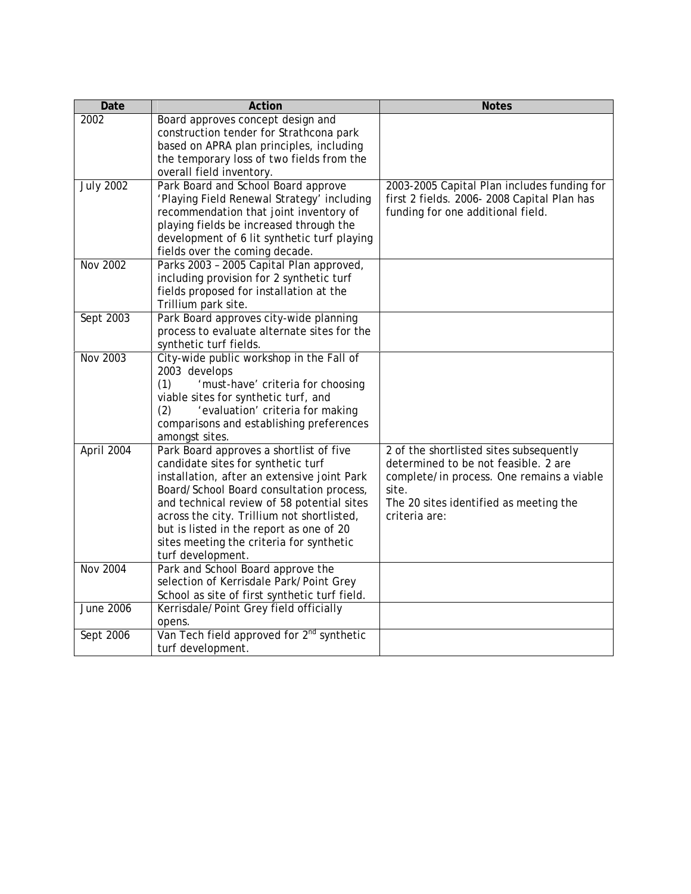| Date             | Action                                                                                   | <b>Notes</b>                                            |
|------------------|------------------------------------------------------------------------------------------|---------------------------------------------------------|
| 2002             | Board approves concept design and                                                        |                                                         |
|                  | construction tender for Strathcona park                                                  |                                                         |
|                  | based on APRA plan principles, including                                                 |                                                         |
|                  | the temporary loss of two fields from the                                                |                                                         |
|                  | overall field inventory.                                                                 |                                                         |
| <b>July 2002</b> | Park Board and School Board approve                                                      | 2003-2005 Capital Plan includes funding for             |
|                  | 'Playing Field Renewal Strategy' including                                               | first 2 fields. 2006-2008 Capital Plan has              |
|                  | recommendation that joint inventory of                                                   | funding for one additional field.                       |
|                  | playing fields be increased through the                                                  |                                                         |
|                  | development of 6 lit synthetic turf playing                                              |                                                         |
|                  | fields over the coming decade.                                                           |                                                         |
| Nov 2002         | Parks 2003 - 2005 Capital Plan approved,                                                 |                                                         |
|                  | including provision for 2 synthetic turf                                                 |                                                         |
|                  | fields proposed for installation at the                                                  |                                                         |
|                  | Trillium park site.                                                                      |                                                         |
| Sept 2003        | Park Board approves city-wide planning                                                   |                                                         |
|                  | process to evaluate alternate sites for the                                              |                                                         |
|                  | synthetic turf fields.                                                                   |                                                         |
| <b>Nov 2003</b>  | City-wide public workshop in the Fall of                                                 |                                                         |
|                  | 2003 develops                                                                            |                                                         |
|                  | (1)<br>'must-have' criteria for choosing                                                 |                                                         |
|                  | viable sites for synthetic turf, and                                                     |                                                         |
|                  | 'evaluation' criteria for making<br>(2)                                                  |                                                         |
|                  | comparisons and establishing preferences                                                 |                                                         |
|                  | amongst sites.                                                                           |                                                         |
| April 2004       | Park Board approves a shortlist of five                                                  | 2 of the shortlisted sites subsequently                 |
|                  | candidate sites for synthetic turf                                                       | determined to be not feasible. 2 are                    |
|                  | installation, after an extensive joint Park                                              | complete/in process. One remains a viable               |
|                  | Board/School Board consultation process,                                                 | site.                                                   |
|                  | and technical review of 58 potential sites<br>across the city. Trillium not shortlisted, | The 20 sites identified as meeting the<br>criteria are: |
|                  | but is listed in the report as one of 20                                                 |                                                         |
|                  | sites meeting the criteria for synthetic                                                 |                                                         |
|                  | turf development.                                                                        |                                                         |
| <b>Nov 2004</b>  | Park and School Board approve the                                                        |                                                         |
|                  | selection of Kerrisdale Park/Point Grey                                                  |                                                         |
|                  | School as site of first synthetic turf field.                                            |                                                         |
| <b>June 2006</b> | Kerrisdale/Point Grey field officially                                                   |                                                         |
|                  | opens.                                                                                   |                                                         |
| Sept 2006        | Van Tech field approved for 2 <sup>nd</sup> synthetic                                    |                                                         |
|                  | turf development.                                                                        |                                                         |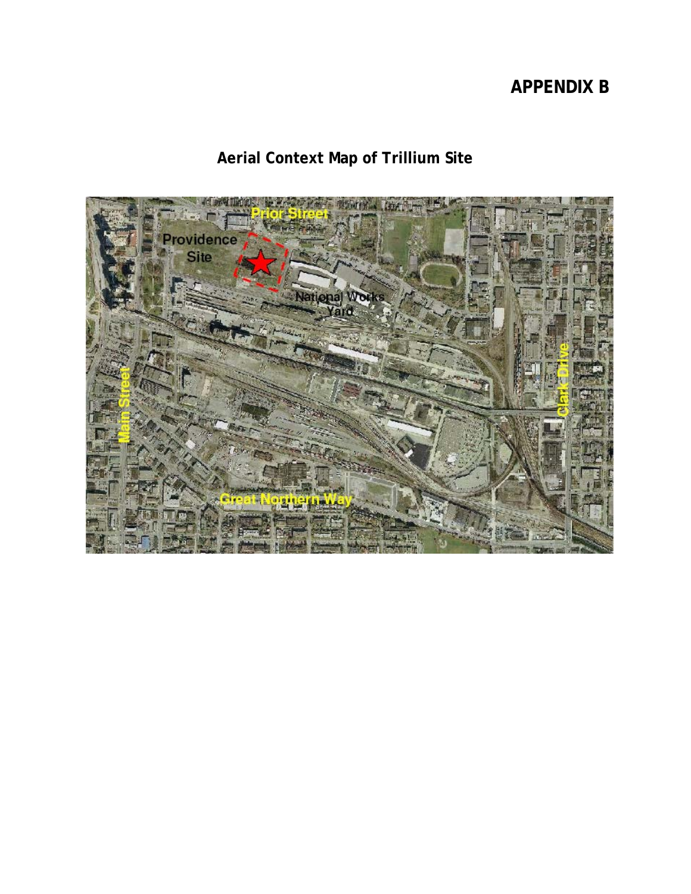## **APPENDIX B**

# **Aerial Context Map of Trillium Site**

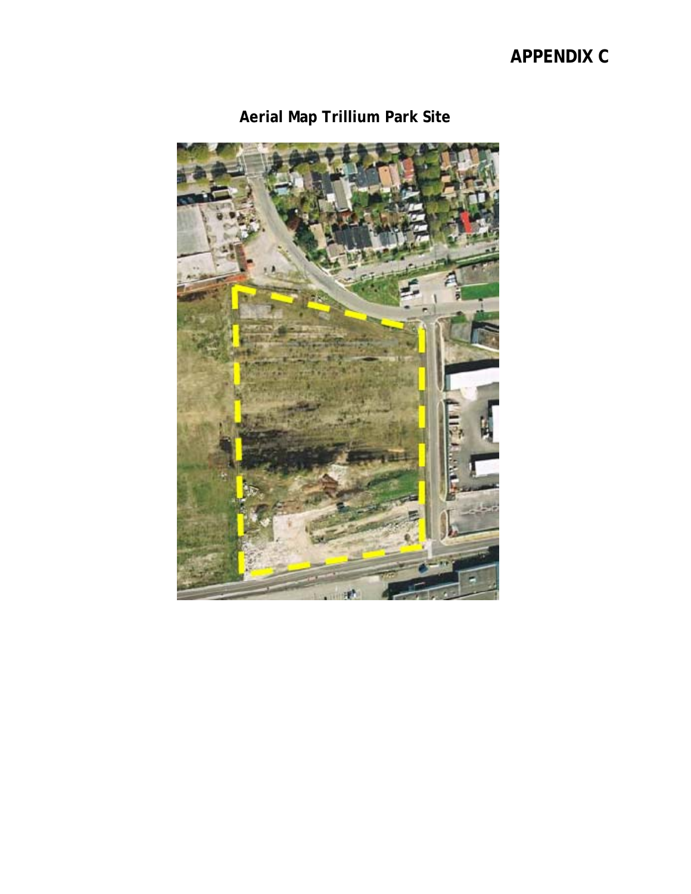## **APPENDIX C**



**Aerial Map Trillium Park Site**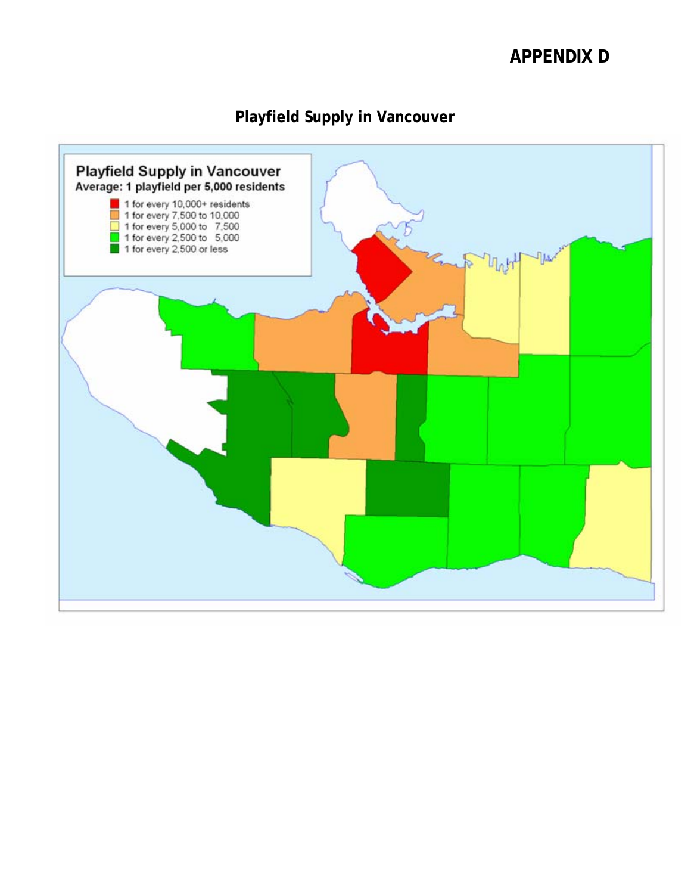### **APPENDIX D**

### **Playfield Supply in Vancouver**